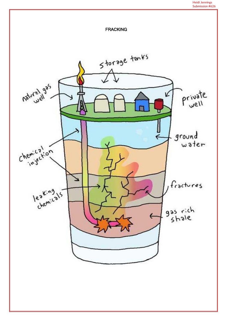#### Heidi Jennings Submission #626

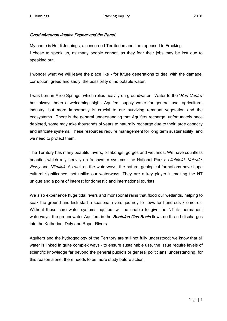## Good afternoon Justice Pepper and the Panel.

My name is Heidi Jennings, a concerned Territorian and I am opposed to Fracking. I chose to speak up, as many people cannot, as they fear their jobs may be lost due to speaking out.

I wonder what we will leave the place like - for future generations to deal with the damage, corruption, greed and sadly, the possibility of no potable water.

I was born in Alice Springs, which relies heavily on groundwater. Water to the 'Red Centre' has always been a welcoming sight. Aquifers supply water for general use, agriculture, industry, but more importantly is crucial to our surviving remnant vegetation and the ecosystems. There is the general understanding that Aquifers recharge; unfortunately once depleted, some may take thousands of years to naturally recharge due to their large capacity and intricate systems. These resources require management for long term sustainability; and we need to protect them.

The Territory has many beautiful rivers, billabongs, gorges and wetlands. We have countless beauties which rely heavily on freshwater systems; the National Parks: Litchfield, Kakadu, Elsey and Nitmiluk. As well as the waterways, the natural geological formations have huge cultural significance, not unlike our waterways. They are a key player in making the NT unique and a point of interest for domestic and international tourists.

We also experience huge tidal rivers and monsoonal rains that flood our wetlands, helping to soak the ground and kick-start a seasonal rivers' journey to flows for hundreds kilometres. Without these core water systems aquifers will be unable to give the NT its permanent waterways; the groundwater Aquifers in the **Beetaloo Gas Basin** flows north and discharges into the Katherine, Daly and Roper Rivers.

Aquifers and the hydrogeology of the Territory are still not fully understood; we know that all water is linked in quite complex ways – to ensure sustainable use, the issue require levels of scientific knowledge far beyond the general public's or general politicians' understanding, for this reason alone, there needs to be more study before action.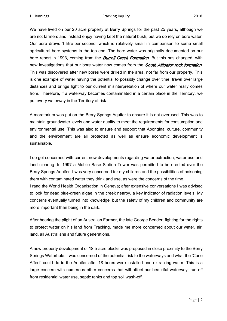We have lived on our 20 acre property at Berry Springs for the past 25 years, although we are not farmers and instead enjoy having kept the natural bush, but we do rely on bore water. Our bore draws 1 litre-per-second, which is relatively small in comparison to some small agricultural bore systems in the top end. The bore water was originally documented on our bore report in 1993, coming from the **Burrell Creek Formation**. But this has changed, with new investigations that our bore water now comes from the **South Alligator rock formation**. This was discovered after new bores were drilled in the area, not far from our property. This is one example of water having the potential to possibly change over time, travel over large distances and brings light to our current misinterpretation of where our water really comes from. Therefore, if a waterway becomes contaminated in a certain place in the Territory, we put every waterway in the Territory at risk.

A moratorium was put on the Berry Springs Aquifer to ensure it is not overused. This was to maintain groundwater levels and water quality to meet the requirements for consumption and environmental use. This was also to ensure and support that Aboriginal culture, community and the environment are all protected as well as ensure economic development is sustainable.

I do get concerned with current new developments regarding water extraction, water use and land clearing. In 1997 a Mobile Base Station Tower was permitted to be erected over the Berry Springs Aquifer. I was very concerned for my children and the possibilities of poisoning them with contaminated water they drink and use, as were the concerns of the time. I rang the World Health Organisation in Geneva; after extensive conversations I was advised

to look for dead blue-green algae in the creek nearby, a key indicator of radiation levels. My concerns eventually turned into knowledge, but the safety of my children and community are more important than being in the dark.

After hearing the plight of an Australian Farmer, the late George Bender, fighting for the rights to protect water on his land from Fracking, made me more concerned about our water, air, land, all Australians and future generations.

A new property development of 18 5-acre blocks was proposed in close proximity to the Berry Springs Waterhole. I was concerned of the potential risk to the waterways and what the 'Cone Affect' could do to the Aquifer after 18 bores were installed and extracting water. This is a large concern with numerous other concerns that will affect our beautiful waterway; run off from residential water use, septic tanks and top soil wash-off.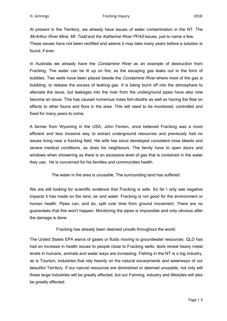At present in the Territory, we already have issues of water contamination in the NT. The McArthur River Mine, Mt. Todd and the Katherine River PFAS issues, just to name a few. These issues have not been rectified and seems it may take many years before a solution is found, if ever.

In Australia we already have the *Condamine River* as an example of destruction from Fracking. The water can be lit up on fire; as the escaping gas leaks out in the form of bubbles. Two wells have been placed beside the *Condamine River* where most of the gas is bubbling; to release the excess of leaking gas. It is being burnt off into the atmosphere to alleviate the issue, but leakages into the river from the underground pipes have also now become an issue. This has caused numerous mass fish-deaths as well as having the flow on effects to other fauna and flora in the area. This will need to be monitored, controlled and fixed for many years to come.

A farmer from Wyoming in the USA, John Fenton, once believed Fracking was a more efficient and less invasive way to extract underground resources and previously had no issues living near a fracking field. His wife has since developed consistent nose bleeds and severe medical conditions, as does his neighbours. The family have to open doors and windows when showering as there is an excessive level of gas that is contained in the water they use. He is concerned for his families and communities health.

The water in the area is unusable. The surrounding land has suffered.

We are still looking for scientific evidence that Fracking is safe. So far I only see negative impacts it has made on the land, air and water. Fracking is not good for the environment or human health. Pipes can, and do, split over time from ground movement. There are no guarantees that this won't happen. Monitoring the pipes is impossible and only obvious after the damage is done.

Fracking has already been deemed unsafe throughout the world.

The United States EPA warns of gases or fluids moving to groundwater resources. QLD has had an increase in health issues to people close to Fracking wells; tests reveal heavy metal levels in humans, animals and water ways are increasing. Fishing in the NT is a big industry, as is Tourism, industries that rely heavily on the natural escarpments and waterways of our beautiful Territory. If our natural resources are diminished or deemed unusable, not only will these large Industries will be greatly affected, but our Farming, industry and lifestyles will also be greatly affected.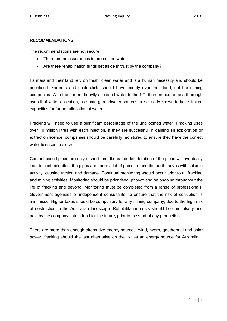### RECOMMENDATIONS

The recommendations are not secure

- There are no assurances to protect the water.
- Are there rehabilitation funds set aside in trust by the company?

Farmers and their land rely on fresh, clean water and is a human necessity and should be prioritised. Farmers and pastoralists should have priority over their land, not the mining companies. With the current heavily allocated water in the NT, there needs to be a thorough overall of water allocation, as some groundwater sources are already known to have limited capacities for further allocation of water.

Fracking will need to use a significant percentage of the unallocated water; Fracking uses over 10 million litres with each injection. If they are successful in gaining an exploration or extraction licence, companies should be carefully monitored to ensure they have the correct water licences to extract.

Cement cased pipes are only a short term fix as the deterioration of the pipes will eventually lead to contamination; the pipes are under a lot of pressure and the earth moves with seismic activity, causing friction and damage. Continual monitoring should occur prior to all fracking and mining activities. Monitoring should be prioritised, prior-to and be ongoing throughout the life of fracking and beyond. Monitoring must be completed from a range of professionals, Government agencies or independent consultants; to ensure that the risk of corruption is minimised. Higher taxes should be compulsory for any mining company, due to the high risk of destruction to the Australian landscape. Rehabilitation costs should be compulsory and paid by the company, into a fund for the future, prior to the start of any production.

There are more than enough alternative energy sources; wind, hydro, geothermal and solar power, fracking should the last alternative on the list as an energy source for Australia.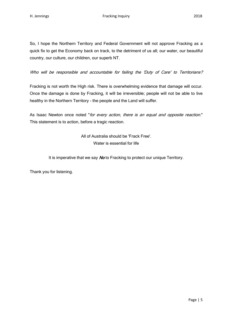So, I hope the Northern Territory and Federal Government will not approve Fracking as a quick fix to get the Economy back on track, to the detriment of us all; our water, our beautiful country, our culture, our children, our superb NT.

Who will be responsible and accountable for failing the 'Duty of Care' to Territorians?

Fracking is not worth the High risk. There is overwhelming evidence that damage will occur. Once the damage is done by Fracking, it will be irreversible; people will not be able to live healthy in the Northern Territory - the people and the Land will suffer.

As Isaac Newton once noted "for every action, there is an equal and opposite reaction." This statement is to action, before a tragic reaction.

> All of Australia should be 'Frack Free'. Water is essential for life

It is imperative that we say No to Fracking to protect our unique Territory.

Thank you for listening.